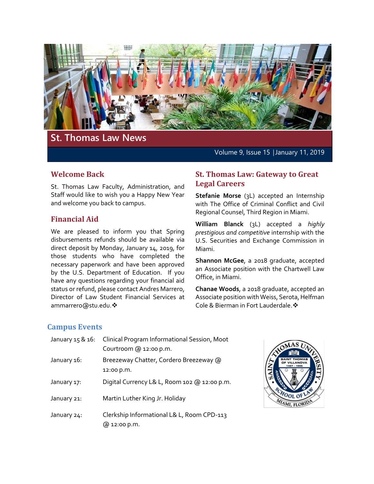

# **St. Thomas Law News**

Volume 9, Issue 15 │January 11, 2019

# **Welcome Back**

St. Thomas Law Faculty, Administration, and Staff would like to wish you a Happy New Year and welcome you back to campus.

## **Financial Aid**

We are pleased to inform you that Spring disbursements refunds should be available via direct deposit by Monday, January 14, 2019, for those students who have completed the necessary paperwork and have been approved by the U.S. Department of Education. If you have any questions regarding your financial aid status or refund, please contact Andres Marrero, Director of Law Student Financial Services at ammarrero@stu.edu. ❖

### **St. Thomas Law: Gateway to Great Legal Careers**

**Stefanie Morse** (3L) accepted an Internship with The Office of Criminal Conflict and Civil Regional Counsel, Third Region in Miami.

**William Blanck** (3L) accepted a *highly prestigious and competitive* internship with the U.S. Securities and Exchange Commission in Miami.

**Shannon McGee**, a 2018 graduate, accepted an Associate position with the Chartwell Law Office, in Miami.

**Chanae Woods**, a 2018 graduate, accepted an Associate position with Weiss, Serota, Helfman Cole & Bierman in Fort Lauderdale.

## **Campus Events**

| January 15 & 16: | Clinical Program Informational Session, Moot<br>Courtroom @ 12:00 p.m. |
|------------------|------------------------------------------------------------------------|
| January 16:      | Breezeway Chatter, Cordero Breezeway @<br>12:00 p.m.                   |
| January 17:      | Digital Currency L& L, Room 102 @ 12:00 p.m.                           |
| January 21:      | Martin Luther King Jr. Holiday                                         |
| January 24:      | Clerkship Informational L& L, Room CPD-113<br>@ 12:00 p.m.             |

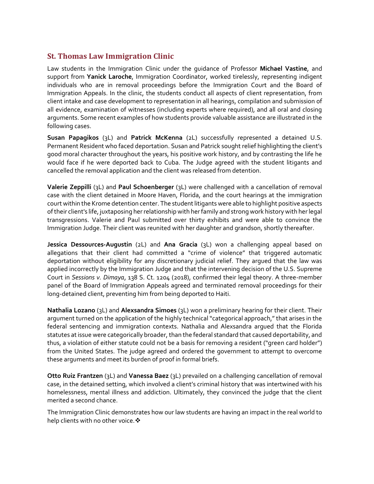# **St. Thomas Law Immigration Clinic**

Law students in the Immigration Clinic under the guidance of Professor **Michael Vastine**, and support from **Yanick Laroche**, Immigration Coordinator, worked tirelessly, representing indigent individuals who are in removal proceedings before the Immigration Court and the Board of Immigration Appeals. In the clinic, the students conduct all aspects of client representation, from client intake and case development to representation in all hearings, compilation and submission of all evidence, examination of witnesses (including experts where required), and all oral and closing arguments. Some recent examples of how students provide valuable assistance are illustrated in the following cases.

**Susan Papagikos** (3L) and **Patrick McKenna** (2L) successfully represented a detained U.S. Permanent Resident who faced deportation. Susan and Patrick sought relief highlighting the client's good moral character throughout the years, his positive work history, and by contrasting the life he would face if he were deported back to Cuba. The Judge agreed with the student litigants and cancelled the removal application and the client was released from detention.

**Valerie Zeppilli** (3L) and **Paul Schoenberger** (3L) were challenged with a cancellation of removal case with the client detained in Moore Haven, Florida, and the court hearings at the immigration court within the Krome detention center. The student litigants were able to highlight positive aspects of their client's life, juxtaposing her relationship with her family and strong work history with her legal transgressions. Valerie and Paul submitted over thirty exhibits and were able to convince the Immigration Judge. Their client was reunited with her daughter and grandson, shortly thereafter.

**Jessica Dessources-Augustin** (2L) and **Ana Gracia** (3L) won a challenging appeal based on allegations that their client had committed a "crime of violence" that triggered automatic deportation without eligibility for any discretionary judicial relief. They argued that the law was applied incorrectly by the Immigration Judge and that the intervening decision of the U.S. Supreme Court in *Sessions v. Dimaya*, 138 S. Ct. 1204 (2018), confirmed their legal theory. A three-member panel of the Board of Immigration Appeals agreed and terminated removal proceedings for their long-detained client, preventing him from being deported to Haiti.

**Nathalia Lozano** (3L) and **Alexsandra Simoes** (3L) won a preliminary hearing for their client. Their argument turned on the application of the highly technical "categorical approach," that arises in the federal sentencing and immigration contexts. Nathalia and Alexsandra argued that the Florida statutes at issue were categorically broader, than the federal standard that caused deportability, and thus, a violation of either statute could not be a basis for removing a resident ("green card holder") from the United States. The judge agreed and ordered the government to attempt to overcome these arguments and meet its burden of proof in formal briefs.

**Otto Ruiz Frantzen** (3L) and **Vanessa Baez** (3L) prevailed on a challenging cancellation of removal case, in the detained setting, which involved a client's criminal history that was intertwined with his homelessness, mental illness and addiction. Ultimately, they convinced the judge that the client merited a second chance.

The Immigration Clinic demonstrates how our law students are having an impact in the real world to help clients with no other voice. ❖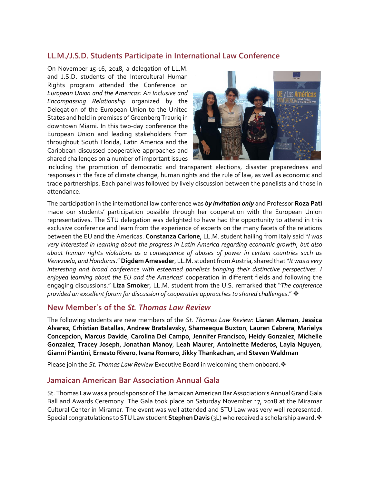# **LL.M./J.S.D. Students Participate in International Law Conference**

On November 15-16, 2018, a delegation of LL.M. and J.S.D. students of the Intercultural Human Rights program attended the Conference on *European Union and the Americas: An Inclusive and Encompassing Relationship* organized by the Delegation of the European Union to the United States and held in premises of Greenberg Traurig in downtown Miami. In this two-day conference the European Union and leading stakeholders from throughout South Florida, Latin America and the Caribbean discussed cooperative approaches and shared challenges on a number of important issues



including the promotion of democratic and transparent elections, disaster preparedness and responses in the face of climate change, human rights and the rule of law, as well as economic and trade partnerships. Each panel was followed by lively discussion between the panelists and those in attendance.

The participation in the international law conference was *by invitation only* and Professor **Roza Pati** made our students' participation possible through her cooperation with the European Union representatives. The STU delegation was delighted to have had the opportunity to attend in this exclusive conference and learn from the experience of experts on the many facets of the relations between the EU and the Americas. **Constanza Carlone**, LL.M. student hailing from Italy said "*I was very interested in learning about the progress in Latin America regarding economic growth, but also about human rights violations as a consequence of abuses of power in certain countries such as Venezuela, and Honduras*." **Digdem Ameseder**, LL.M. student from Austria, shared that "*It was a very interesting and broad conference with esteemed panelists bringing their distinctive perspectives. I enjoyed learning about the EU and the Americas*' cooperation in different fields and following the engaging discussions." **Liza Smoker**, LL.M. student from the U.S. remarked that "*The conference provided an excellent forum for discussion of cooperative approaches to shared challenges*."

#### **New Member's of the** *St. Thomas Law Review*

The following students are new members of the *St. Thomas Law Review*: **Liaran Aleman**, **Jessica Alvarez**, **Crhistian Batallas**, **Andrew Bratslavsky**, **Shameequa Buxton**, **Lauren Cabrera**, **Marielys Concepcion**, **Marcus Davide**, **Carolina Del Campo**, **Jennifer Francisco**, **Heidy Gonzalez**, **Michelle Gonzalez**, **Tracey Joseph**, **Jonathan Manoy**, **Leah Maurer**, **Antoinette Mederos**, **Layla Nguyen**, **Gianni Piantini**, **Ernesto Rivero**, **Ivana Romero**, **Jikky Thankachan**, and **Steven Waldman**

Please join the *St. Thomas Law Review* Executive Board in welcoming them onboard.

## **Jamaican American Bar Association Annual Gala**

St. Thomas Law was a proud sponsor of The Jamaican American Bar Association's Annual Grand Gala Ball and Awards Ceremony. The Gala took place on Saturday November 17, 2018 at the Miramar Cultural Center in Miramar. The event was well attended and STU Law was very well represented. Special congratulations to STU Law student **Stephen Davis** (3L) who received a scholarship award.